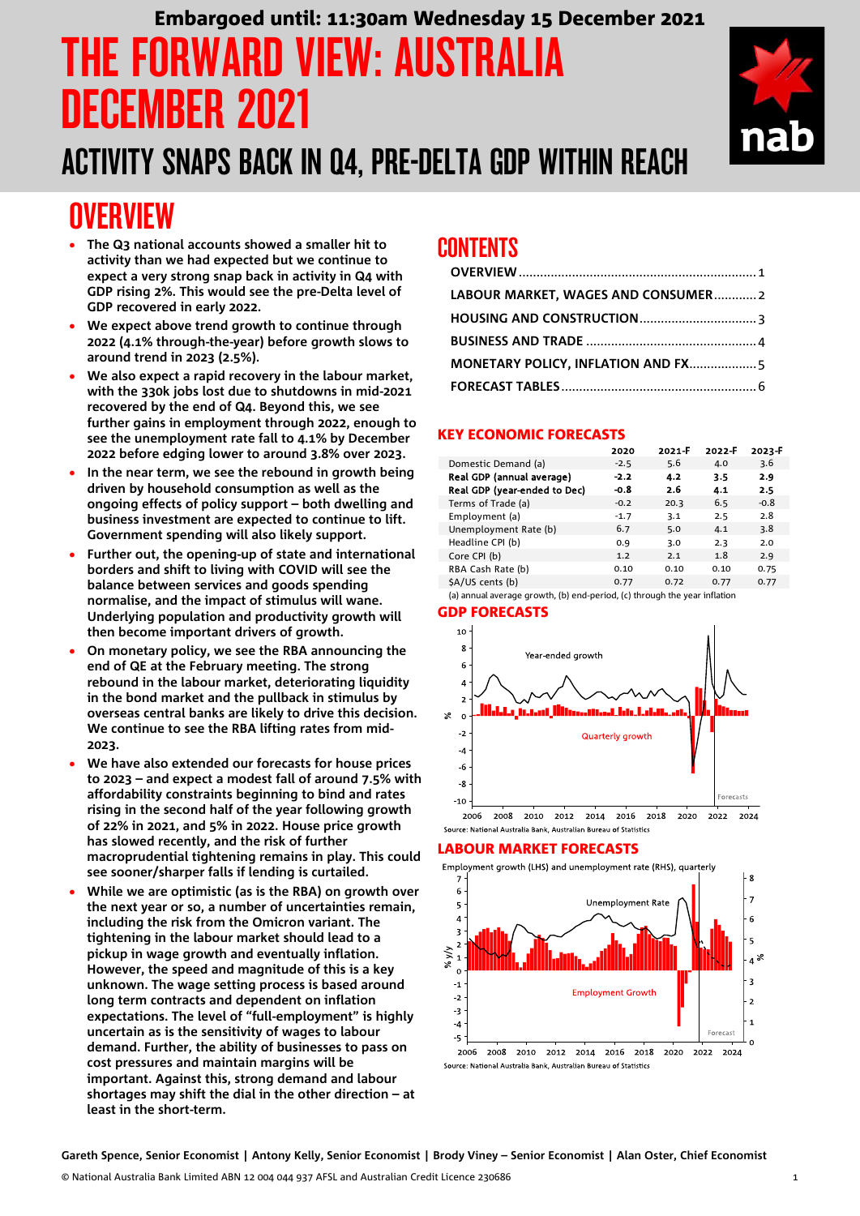# **IRWARD VIEW: AUSTRALIA** DECEMBER 2021 Embargoed until: 11:30am Wednesday 15 December 2021

### ACTIVITY SNAPS BACK IN Q4, PRE-DELTA GDP WITHIN REACH

### <span id="page-0-0"></span>**OVERVIEW**

- **The Q3 national accounts showed a smaller hit to activity than we had expected but we continue to expect a very strong snap back in activity in Q4 with GDP rising 2%. This would see the pre-Delta level of GDP recovered in early 2022.**
- **We expect above trend growth to continue through 2022 (4.1% through-the-year) before growth slows to around trend in 2023 (2.5%).**
- **We also expect a rapid recovery in the labour market, with the 330k jobs lost due to shutdowns in mid-2021 recovered by the end of Q4. Beyond this, we see further gains in employment through 2022, enough to see the unemployment rate fall to 4.1% by December 2022 before edging lower to around 3.8% over 2023.**
- **In the near term, we see the rebound in growth being driven by household consumption as well as the ongoing effects of policy support – both dwelling and business investment are expected to continue to lift. Government spending will also likely support.**
- **Further out, the opening-up of state and international borders and shift to living with COVID will see the balance between services and goods spending normalise, and the impact of stimulus will wane. Underlying population and productivity growth will then become important drivers of growth.**
- **On monetary policy, we see the RBA announcing the end of QE at the February meeting. The strong rebound in the labour market, deteriorating liquidity in the bond market and the pullback in stimulus by overseas central banks are likely to drive this decision. We continue to see the RBA lifting rates from mid-2023.**
- **We have also extended our forecasts for house prices to 2023 – and expect a modest fall of around 7.5% with affordability constraints beginning to bind and rates rising in the second half of the year following growth of 22% in 2021, and 5% in 2022. House price growth has slowed recently, and the risk of further macroprudential tightening remains in play. This could see sooner/sharper falls if lending is curtailed.**
- **While we are optimistic (as is the RBA) on growth over the next year or so, a number of uncertainties remain, including the risk from the Omicron variant. The tightening in the labour market should lead to a pickup in wage growth and eventually inflation. However, the speed and magnitude of this is a key unknown. The wage setting process is based around long term contracts and dependent on inflation expectations. The level of "full-employment" is highly uncertain as is the sensitivity of wages to labour demand. Further, the ability of businesses to pass on cost pressures and maintain margins will be important. Against this, strong demand and labour shortages may shift the dial in the other direction – at least in the short-term.**

### CONTENTS

| LABOUR MARKET, WAGES AND CONSUMER2 |  |
|------------------------------------|--|
|                                    |  |
|                                    |  |
|                                    |  |
|                                    |  |

#### KEY ECONOMIC FORECASTS

|                              | 2020   | 2021-F | 2022-F | 2023-F |
|------------------------------|--------|--------|--------|--------|
| Domestic Demand (a)          | $-2.5$ | 5.6    | 4.0    | 3.6    |
| Real GDP (annual average)    | $-2.2$ | 4.2    | 3.5    | 2.9    |
| Real GDP (year-ended to Dec) | -0.8   | 2.6    | 4.1    | 2.5    |
| Terms of Trade (a)           | $-0.2$ | 20.3   | 6.5    | $-0.8$ |
| Employment (a)               | $-1.7$ | 3.1    | 2.5    | 2.8    |
| Unemployment Rate (b)        | 6.7    | 5.0    | 4.1    | 3.8    |
| Headline CPI (b)             | 0.9    | 3.0    | 2.3    | 2.0    |
| Core CPI (b)                 | 1.2    | 2.1    | 1.8    | 2.9    |
| RBA Cash Rate (b)            | 0.10   | 0.10   | 0.10   | 0.75   |
| \$A/US cents (b)             | 0.77   | 0.72   | 0.77   | 0.77   |
|                              |        |        |        |        |

(a) annual average growth, (b) end-period, (c) through the year inflation

#### GDP FORECASTS



#### LABOUR MARKET FORECASTS

Employment growth (LHS) and unemployment rate (RHS), quarterly



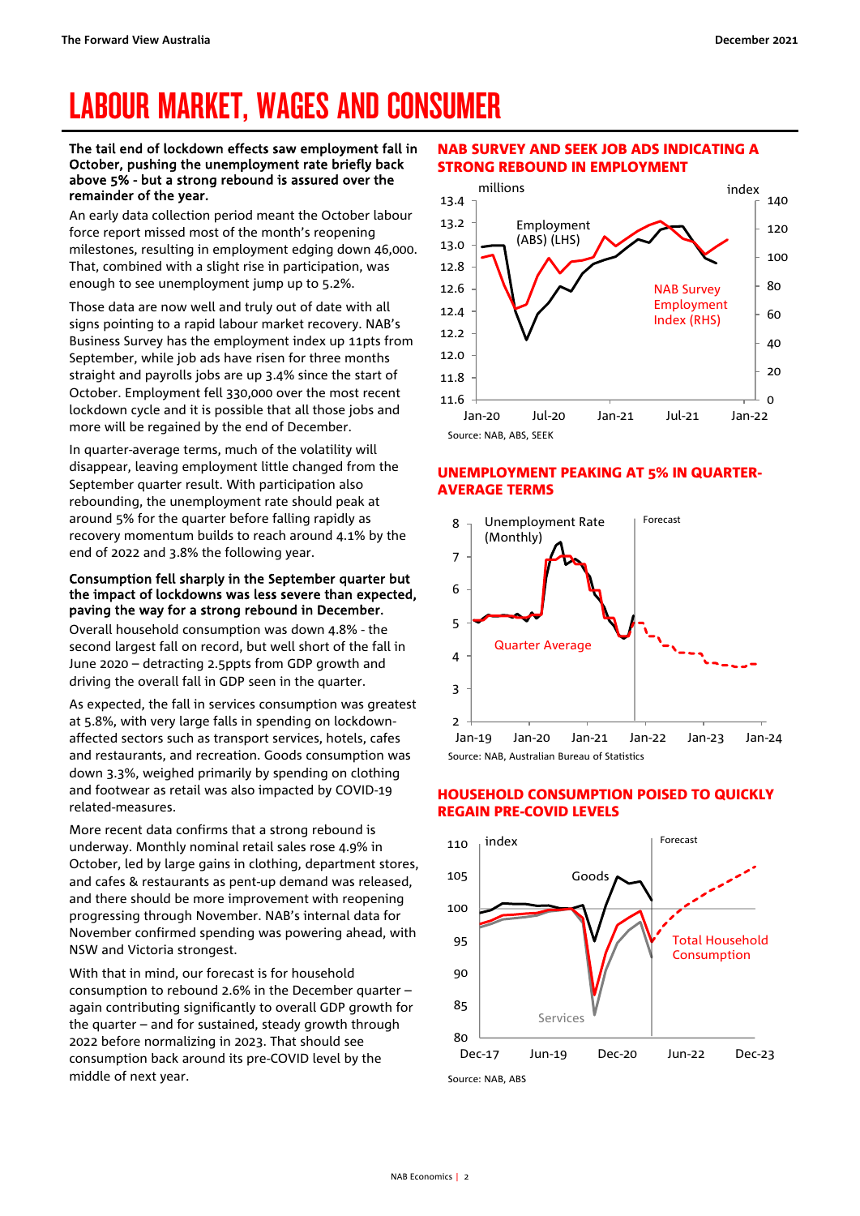# <span id="page-1-0"></span>LABOUR MARKET, WAGES AND CONSUMER

#### The tail end of lockdown effects saw employment fall in October, pushing the unemployment rate briefly back above 5% - but a strong rebound is assured over the remainder of the year.

An early data collection period meant the October labour force report missed most of the month's reopening milestones, resulting in employment edging down 46,000. That, combined with a slight rise in participation, was enough to see unemployment jump up to 5.2%.

Those data are now well and truly out of date with all signs pointing to a rapid labour market recovery. NAB's Business Survey has the employment index up 11pts from September, while job ads have risen for three months straight and payrolls jobs are up 3.4% since the start of October. Employment fell 330,000 over the most recent lockdown cycle and it is possible that all those jobs and more will be regained by the end of December.

In quarter-average terms, much of the volatility will disappear, leaving employment little changed from the September quarter result. With participation also rebounding, the unemployment rate should peak at around 5% for the quarter before falling rapidly as recovery momentum builds to reach around 4.1% by the end of 2022 and 3.8% the following year.

#### Consumption fell sharply in the September quarter but the impact of lockdowns was less severe than expected, paving the way for a strong rebound in December.

Overall household consumption was down 4.8% - the second largest fall on record, but well short of the fall in June 2020 – detracting 2.5ppts from GDP growth and driving the overall fall in GDP seen in the quarter.

As expected, the fall in services consumption was greatest at 5.8%, with very large falls in spending on lockdownaffected sectors such as transport services, hotels, cafes and restaurants, and recreation. Goods consumption was down 3.3%, weighed primarily by spending on clothing and footwear as retail was also impacted by COVID-19 related-measures.

More recent data confirms that a strong rebound is underway. Monthly nominal retail sales rose 4.9% in October, led by large gains in clothing, department stores, and cafes & restaurants as pent-up demand was released, and there should be more improvement with reopening progressing through November. NAB's internal data for November confirmed spending was powering ahead, with NSW and Victoria strongest.

With that in mind, our forecast is for household consumption to rebound 2.6% in the December quarter – again contributing significantly to overall GDP growth for the quarter – and for sustained, steady growth through 2022 before normalizing in 2023. That should see consumption back around its pre-COVID level by the middle of next year.

#### NAB SURVEY AND SEEK JOB ADS INDICATING A STRONG REBOUND IN EMPLOYMENT



#### UNEMPLOYMENT PEAKING AT 5% IN QUARTER-AVERAGE TERMS



#### HOUSEHOLD CONSUMPTION POISED TO QUICKLY REGAIN PRE-COVID LEVELS



Source: NAB, ABS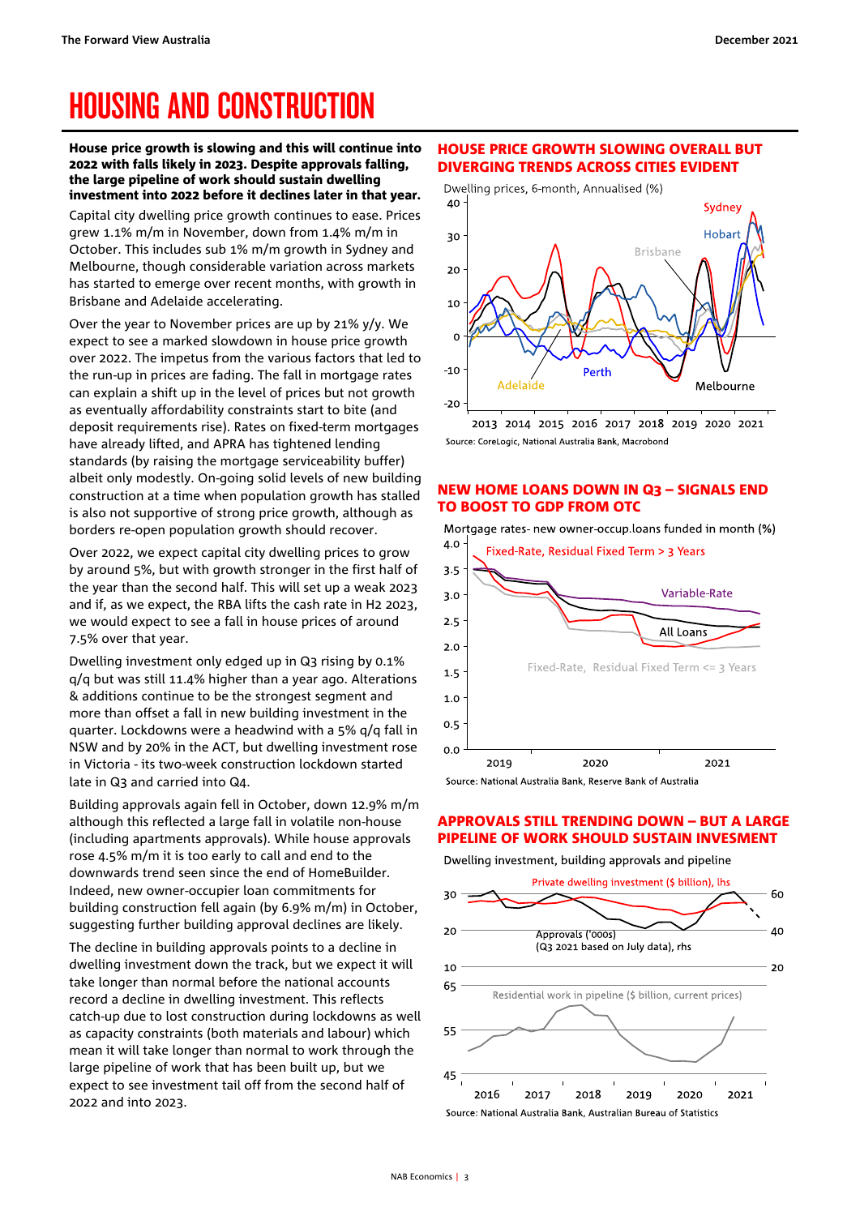## <span id="page-2-0"></span>HOUSING AND CONSTRUCTION

House price growth is slowing and this will continue into 2022 with falls likely in 2023. Despite approvals falling, the large pipeline of work should sustain dwelling investment into 2022 before it declines later in that year.

Capital city dwelling price growth continues to ease. Prices grew 1.1% m/m in November, down from 1.4% m/m in October. This includes sub 1% m/m growth in Sydney and Melbourne, though considerable variation across markets has started to emerge over recent months, with growth in Brisbane and Adelaide accelerating.

Over the year to November prices are up by 21% y/y. We expect to see a marked slowdown in house price growth over 2022. The impetus from the various factors that led to the run-up in prices are fading. The fall in mortgage rates can explain a shift up in the level of prices but not growth as eventually affordability constraints start to bite (and deposit requirements rise). Rates on fixed-term mortgages have already lifted, and APRA has tightened lending standards (by raising the mortgage serviceability buffer) albeit only modestly. On-going solid levels of new building construction at a time when population growth has stalled is also not supportive of strong price growth, although as borders re-open population growth should recover.

Over 2022, we expect capital city dwelling prices to grow by around 5%, but with growth stronger in the first half of the year than the second half. This will set up a weak 2023 and if, as we expect, the RBA lifts the cash rate in H2 2023, we would expect to see a fall in house prices of around 7.5% over that year.

Dwelling investment only edged up in Q3 rising by 0.1% q/q but was still 11.4% higher than a year ago. Alterations & additions continue to be the strongest segment and more than offset a fall in new building investment in the quarter. Lockdowns were a headwind with a 5% q/q fall in NSW and by 20% in the ACT, but dwelling investment rose in Victoria - its two-week construction lockdown started late in Q3 and carried into Q4.

Building approvals again fell in October, down 12.9% m/m although this reflected a large fall in volatile non-house (including apartments approvals). While house approvals rose 4.5% m/m it is too early to call and end to the downwards trend seen since the end of HomeBuilder. Indeed, new owner-occupier loan commitments for building construction fell again (by 6.9% m/m) in October, suggesting further building approval declines are likely.

The decline in building approvals points to a decline in dwelling investment down the track, but we expect it will take longer than normal before the national accounts record a decline in dwelling investment. This reflects catch-up due to lost construction during lockdowns as well as capacity constraints (both materials and labour) which mean it will take longer than normal to work through the large pipeline of work that has been built up, but we expect to see investment tail off from the second half of 2022 and into 2023.

#### HOUSE PRICE GROWTH SLOWING OVERALL BUT DIVERGING TRENDS ACROSS CITIES EVIDENT



2013 2014 2015 2016 2017 2018 2019 2020 2021 Source: CoreLogic, National Australia Bank, Macrobond

#### NEW HOME LOANS DOWN IN Q3 – SIGNALS END TO BOOST TO GDP FROM OTC





#### APPROVALS STILL TRENDING DOWN – BUT A LARGE PIPELINE OF WORK SHOULD SUSTAIN INVESMENT

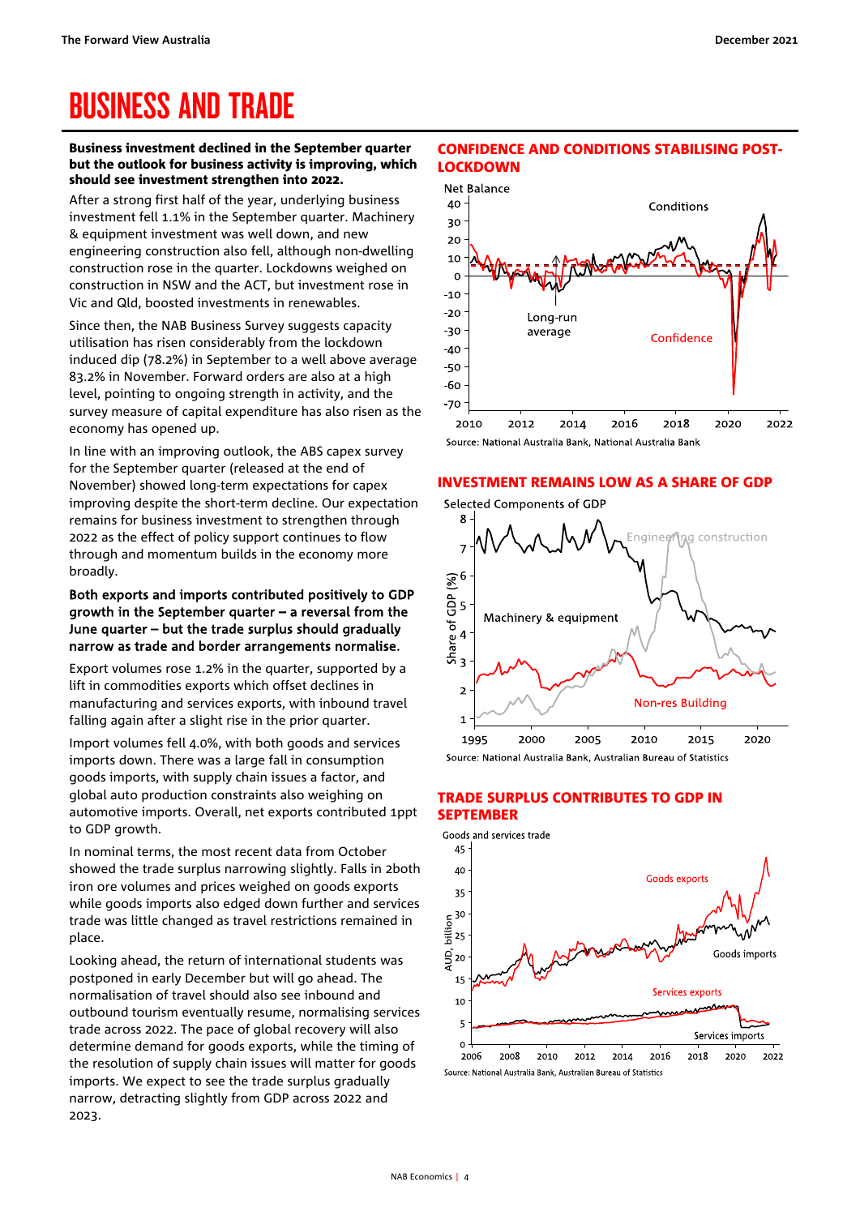## <span id="page-3-0"></span>BUSINESS AND TRADE

#### Business investment declined in the September quarter but the outlook for business activity is improving, which should see investment strengthen into 2022.

After a strong first half of the year, underlying business investment fell 1.1% in the September quarter. Machinery & equipment investment was well down, and new engineering construction also fell, although non-dwelling construction rose in the quarter. Lockdowns weighed on construction in NSW and the ACT, but investment rose in Vic and Qld, boosted investments in renewables.

Since then, the NAB Business Survey suggests capacity utilisation has risen considerably from the lockdown induced dip (78.2%) in September to a well above average 83.2% in November. Forward orders are also at a high level, pointing to ongoing strength in activity, and the survey measure of capital expenditure has also risen as the economy has opened up.

In line with an improving outlook, the ABS capex survey for the September quarter (released at the end of November) showed long-term expectations for capex improving despite the short-term decline. Our expectation remains for business investment to strengthen through 2022 as the effect of policy support continues to flow through and momentum builds in the economy more broadly.

#### Both exports and imports contributed positively to GDP growth in the September quarter – a reversal from the June quarter – but the trade surplus should gradually narrow as trade and border arrangements normalise.

Export volumes rose 1.2% in the quarter, supported by a lift in commodities exports which offset declines in manufacturing and services exports, with inbound travel falling again after a slight rise in the prior quarter.

Import volumes fell 4.0%, with both goods and services imports down. There was a large fall in consumption goods imports, with supply chain issues a factor, and global auto production constraints also weighing on automotive imports. Overall, net exports contributed 1ppt to GDP growth.

In nominal terms, the most recent data from October showed the trade surplus narrowing slightly. Falls in 2both iron ore volumes and prices weighed on goods exports while goods imports also edged down further and services trade was little changed as travel restrictions remained in place.

Looking ahead, the return of international students was postponed in early December but will go ahead. The normalisation of travel should also see inbound and outbound tourism eventually resume, normalising services trade across 2022. The pace of global recovery will also determine demand for goods exports, while the timing of the resolution of supply chain issues will matter for goods imports. We expect to see the trade surplus gradually narrow, detracting slightly from GDP across 2022 and 2023.

#### CONFIDENCE AND CONDITIONS STABILISING POST-**LOCKDOWN**



Source: National Australia Bank, National Australia Bank

#### INVESTMENT REMAINS LOW AS A SHARE OF GDP



#### TRADE SURPLUS CONTRIBUTES TO GDP IN **SEPTEMBER**



Source: National Australia Bank, Australian Bureau of Statistics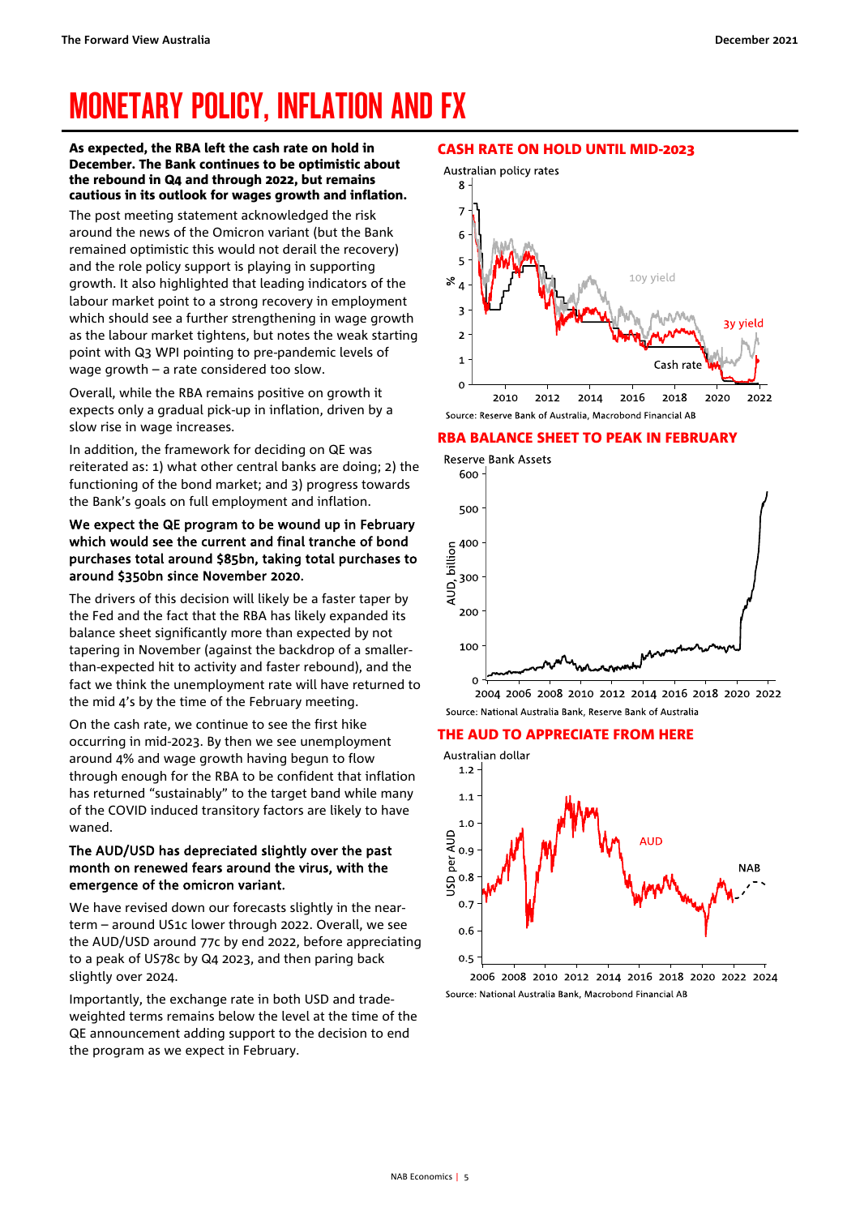## <span id="page-4-0"></span>MONETARY POLICY, INFLATION AND FX

As expected, the RBA left the cash rate on hold in December. The Bank continues to be optimistic about the rebound in Q4 and through 2022, but remains cautious in its outlook for wages growth and inflation.

The post meeting statement acknowledged the risk around the news of the Omicron variant (but the Bank remained optimistic this would not derail the recovery) and the role policy support is playing in supporting growth. It also highlighted that leading indicators of the labour market point to a strong recovery in employment which should see a further strengthening in wage growth as the labour market tightens, but notes the weak starting point with Q3 WPI pointing to pre-pandemic levels of wage growth – a rate considered too slow.

Overall, while the RBA remains positive on growth it expects only a gradual pick-up in inflation, driven by a slow rise in wage increases.

In addition, the framework for deciding on QE was reiterated as: 1) what other central banks are doing; 2) the functioning of the bond market; and 3) progress towards the Bank's goals on full employment and inflation.

#### We expect the QE program to be wound up in February which would see the current and final tranche of bond purchases total around \$85bn, taking total purchases to around \$350bn since November 2020.

The drivers of this decision will likely be a faster taper by the Fed and the fact that the RBA has likely expanded its balance sheet significantly more than expected by not tapering in November (against the backdrop of a smallerthan-expected hit to activity and faster rebound), and the fact we think the unemployment rate will have returned to the mid 4's by the time of the February meeting.

On the cash rate, we continue to see the first hike occurring in mid-2023. By then we see unemployment around 4% and wage growth having begun to flow through enough for the RBA to be confident that inflation has returned "sustainably" to the target band while many of the COVID induced transitory factors are likely to have waned.

#### The AUD/USD has depreciated slightly over the past month on renewed fears around the virus, with the emergence of the omicron variant.

We have revised down our forecasts slightly in the nearterm – around US1c lower through 2022. Overall, we see the AUD/USD around 77c by end 2022, before appreciating to a peak of US78c by Q4 2023, and then paring back slightly over 2024.

Importantly, the exchange rate in both USD and tradeweighted terms remains below the level at the time of the QE announcement adding support to the decision to end the program as we expect in February.

#### CASH RATE ON HOLD UNTIL MID-2023



#### RBA BALANCE SHEET TO PEAK IN FEBRUARY



2004 2006 2008 2010 2012 2014 2016 2018 2020 2022 Source: National Australia Bank, Reserve Bank of Australia

#### THE AUD TO APPRECIATE FROM HERE



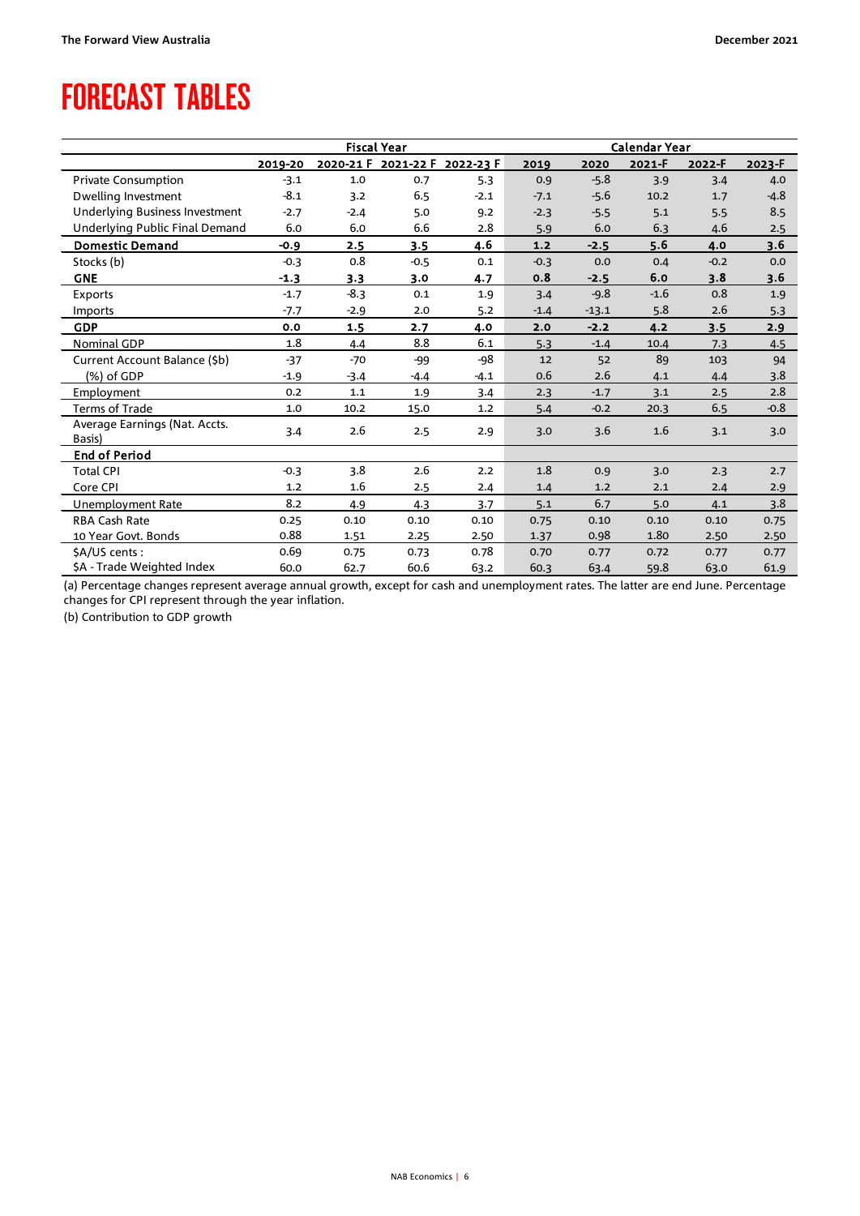### <span id="page-5-0"></span>FORECAST TABLES

|                                       | <b>Fiscal Year</b> |           |           |           | Calendar Year |         |        |        |        |
|---------------------------------------|--------------------|-----------|-----------|-----------|---------------|---------|--------|--------|--------|
|                                       | 2019-20            | 2020-21 F | 2021-22 F | 2022-23 F | 2019          | 2020    | 2021-F | 2022-F | 2023-F |
| Private Consumption                   | $-3.1$             | 1.0       | 0.7       | 5.3       | 0.9           | $-5.8$  | 3.9    | 3.4    | 4.0    |
| Dwelling Investment                   | $-8.1$             | 3.2       | 6.5       | $-2.1$    | $-7.1$        | $-5.6$  | 10.2   | 1.7    | $-4.8$ |
| <b>Underlying Business Investment</b> | $-2.7$             | $-2.4$    | 5.0       | 9.2       | $-2.3$        | $-5.5$  | 5.1    | 5.5    | 8.5    |
| Underlying Public Final Demand        | 6.0                | 6.0       | 6.6       | 2.8       | 5.9           | 6.0     | 6.3    | 4.6    | 2.5    |
| <b>Domestic Demand</b>                | $-0.9$             | 2.5       | 3.5       | 4.6       | $1.2$         | $-2.5$  | 5.6    | 4.0    | 3.6    |
| Stocks (b)                            | $-0.3$             | 0.8       | $-0.5$    | 0.1       | $-0.3$        | 0.0     | 0.4    | $-0.2$ | 0.0    |
| <b>GNE</b>                            | $-1.3$             | 3.3       | 3.0       | 4.7       | 0.8           | $-2.5$  | 6.0    | 3.8    | 3.6    |
| <b>Exports</b>                        | $-1.7$             | $-8.3$    | 0.1       | 1.9       | 3.4           | $-9.8$  | $-1.6$ | 0.8    | 1.9    |
| Imports                               | $-7.7$             | $-2.9$    | 2.0       | 5.2       | $-1.4$        | $-13.1$ | 5.8    | 2.6    | 5.3    |
| <b>GDP</b>                            | 0.0                | 1.5       | 2.7       | 4.0       | 2.0           | $-2.2$  | 4.2    | 3.5    | 2.9    |
| <b>Nominal GDP</b>                    | 1.8                | 4.4       | 8.8       | 6.1       | 5.3           | $-1.4$  | 10.4   | 7.3    | 4.5    |
| Current Account Balance (\$b)         | $-37$              | $-70$     | $-99$     | $-98$     | 12            | 52      | 89     | 103    | 94     |
| (%) of GDP                            | $-1.9$             | $-3.4$    | $-4.4$    | $-4.1$    | 0.6           | 2.6     | 4.1    | 4.4    | 3.8    |
| Employment                            | 0.2                | 1.1       | 1.9       | 3.4       | 2.3           | $-1.7$  | 3.1    | 2.5    | 2.8    |
| Terms of Trade                        | 1.0                | 10.2      | 15.0      | 1.2       | 5.4           | $-0.2$  | 20.3   | 6.5    | $-0.8$ |
| Average Earnings (Nat. Accts.         | 3.4                | 2.6       | 2.5       | 2.9       | 3.0           | 3.6     | 1.6    | 3.1    | 3.0    |
| Basis)                                |                    |           |           |           |               |         |        |        |        |
| <b>End of Period</b>                  |                    |           |           |           |               |         |        |        |        |
| <b>Total CPI</b>                      | $-0.3$             | 3.8       | 2.6       | 2.2       | 1.8           | 0.9     | 3.0    | 2.3    | 2.7    |
| Core CPI                              | 1.2                | 1.6       | 2.5       | 2.4       | 1.4           | 1.2     | 2.1    | 2.4    | 2.9    |
| <b>Unemployment Rate</b>              | 8.2                | 4.9       | 4.3       | 3.7       | 5.1           | 6.7     | 5.0    | 4.1    | 3.8    |
| <b>RBA Cash Rate</b>                  | 0.25               | 0.10      | 0.10      | 0.10      | 0.75          | 0.10    | 0.10   | 0.10   | 0.75   |
| 10 Year Govt. Bonds                   | 0.88               | 1.51      | 2.25      | 2.50      | 1.37          | 0.98    | 1.80   | 2.50   | 2.50   |
| \$A/US cents:                         | 0.69               | 0.75      | 0.73      | 0.78      | 0.70          | 0.77    | 0.72   | 0.77   | 0.77   |
| \$A - Trade Weighted Index            | 60.0               | 62.7      | 60.6      | 63.2      | 60.3          | 63.4    | 59.8   | 63.0   | 61.9   |

(a) Percentage changes represent average annual growth, except for cash and unemployment rates. The latter are end June. Percentage changes for CPI represent through the year inflation.

(b) Contribution to GDP growth